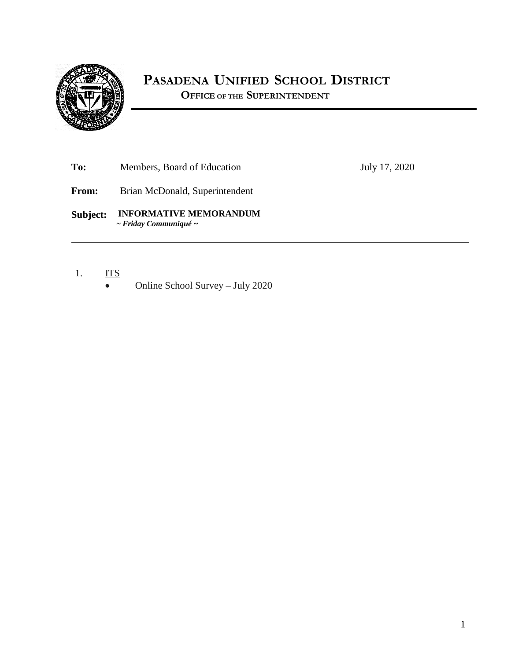

## **PASADENA UNIFIED SCHOOL DISTRICT**

**OFFICE OF THE SUPERINTENDENT**

To: Members, Board of Education July 17, 2020

- **From:** Brian McDonald, Superintendent
- **Subject: INFORMATIVE MEMORANDUM ~** *Friday Communiqué ~*
- 1. ITS
	- Online School Survey July 2020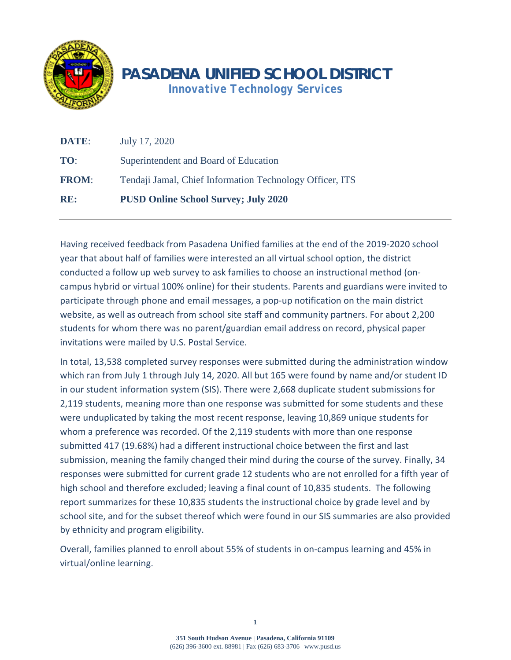

| RE:          | <b>PUSD Online School Survey; July 2020</b>              |
|--------------|----------------------------------------------------------|
| <b>FROM:</b> | Tendaji Jamal, Chief Information Technology Officer, ITS |
| TO:          | Superintendent and Board of Education                    |
| DATE:        | July 17, 2020                                            |

Having received feedback from Pasadena Unified families at the end of the 2019-2020 school year that about half of families were interested an all virtual school option, the district conducted a follow up web survey to ask families to choose an instructional method (oncampus hybrid or virtual 100% online) for their students. Parents and guardians were invited to participate through phone and email messages, a pop-up notification on the main district website, as well as outreach from school site staff and community partners. For about 2,200 students for whom there was no parent/guardian email address on record, physical paper invitations were mailed by U.S. Postal Service.

In total, 13,538 completed survey responses were submitted during the administration window which ran from July 1 through July 14, 2020. All but 165 were found by name and/or student ID in our student information system (SIS). There were 2,668 duplicate student submissions for 2,119 students, meaning more than one response was submitted for some students and these were unduplicated by taking the most recent response, leaving 10,869 unique students for whom a preference was recorded. Of the 2,119 students with more than one response submitted 417 (19.68%) had a different instructional choice between the first and last submission, meaning the family changed their mind during the course of the survey. Finally, 34 responses were submitted for current grade 12 students who are not enrolled for a fifth year of high school and therefore excluded; leaving a final count of 10,835 students. The following report summarizes for these 10,835 students the instructional choice by grade level and by school site, and for the subset thereof which were found in our SIS summaries are also provided by ethnicity and program eligibility.

Overall, families planned to enroll about 55% of students in on-campus learning and 45% in virtual/online learning.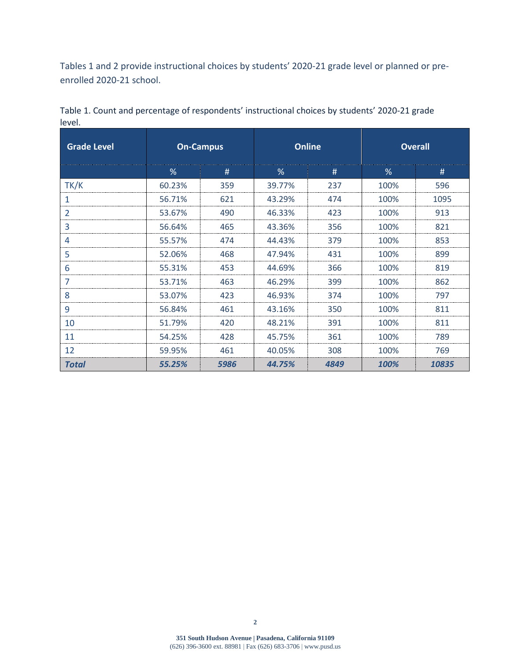Tables 1 and 2 provide instructional choices by students' 2020-21 grade level or planned or preenrolled 2020-21 school.

| <b>Grade Level</b> |        | <b>On-Campus</b> | <b>Online</b> |      | <b>Overall</b> |       |
|--------------------|--------|------------------|---------------|------|----------------|-------|
|                    | %      | #                | %             | #    | %              | #     |
| TK/K               | 60.23% | 359              | 39.77%        | 237  | 100%           | 596   |
| 1                  | 56.71% | 621              | 43.29%        | 474  | 100%           | 1095  |
| 2                  | 53.67% | 490              | 46.33%        | 423  | 100%           | 913   |
| 3                  | 56.64% | 465              | 43.36%        | 356  | 100%           | 821   |
| 4                  | 55.57% | 474              | 44.43%        | 379  | 100%           | 853   |
| 5                  | 52.06% | 468              | 47.94%        | 431  | 100%           | 899   |
| 6                  | 55.31% | 453              | 44.69%        | 366  | 100%           | 819   |
|                    | 53.71% | 463              | 46.29%        | 399  | 100%           | 862   |
| 8                  | 53.07% | 423              | 46.93%        | 374  | 100%           | 797   |
| 9                  | 56.84% | 461              | 43.16%        | 350  | 100%           | 811   |
| 10                 | 51.79% | 420              | 48.21%        | 391  | 100%           | 811   |
| 11                 | 54.25% | 428              | 45.75%        | 361  | 100%           | 789   |
| 12                 | 59.95% | 461              | 40.05%        | 308  | 100%           | 769   |
| <b>Total</b>       | 55.25% | 5986             | 44.75%        | 4849 | 100%           | 10835 |

Table 1. Count and percentage of respondents' instructional choices by students' 2020-21 grade level.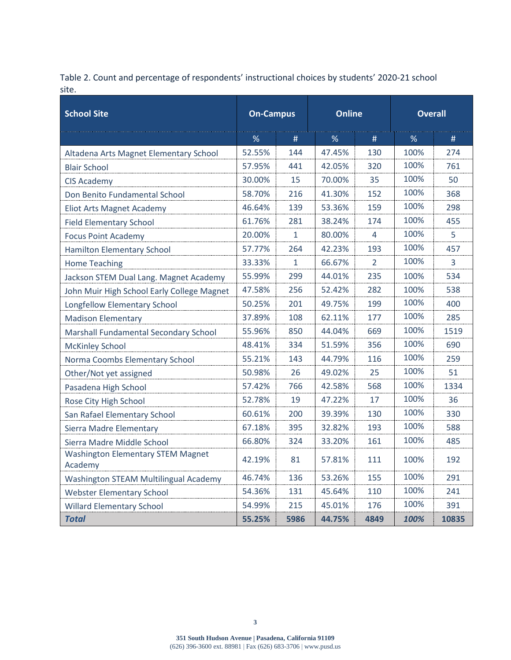Table 2. Count and percentage of respondents' instructional choices by students' 2020-21 school site.

| <b>School Site</b>                                  | <b>On-Campus</b> |              | <b>Online</b> |                | <b>Overall</b> |       |
|-----------------------------------------------------|------------------|--------------|---------------|----------------|----------------|-------|
|                                                     | ℅                | #            | $\%$          | #              | $\%$           | #     |
| Altadena Arts Magnet Elementary School              | 52.55%           | 144          | 47.45%        | 130            | 100%           | 274   |
| <b>Blair School</b>                                 | 57.95%           | 441          | 42.05%        | 320            | 100%           | 761   |
| <b>CIS Academy</b>                                  | 30.00%           | 15           | 70.00%        | 35             | 100%           | 50    |
| Don Benito Fundamental School                       | 58.70%           | 216          | 41.30%        | 152            | 100%           | 368   |
| <b>Eliot Arts Magnet Academy</b>                    | 46.64%           | 139          | 53.36%        | 159            | 100%           | 298   |
| <b>Field Elementary School</b>                      | 61.76%           | 281          | 38.24%        | 174            | 100%           | 455   |
| <b>Focus Point Academy</b>                          | 20.00%           | $\mathbf{1}$ | 80.00%        | 4              | 100%           | 5.    |
| <b>Hamilton Elementary School</b>                   | 57.77%           | 264          | 42.23%        | 193            | 100%           | 457   |
| <b>Home Teaching</b>                                | 33.33%           | $\mathbf{1}$ | 66.67%        | $\overline{2}$ | 100%           | 3     |
| Jackson STEM Dual Lang. Magnet Academy              | 55.99%           | 299          | 44.01%        | 235            | 100%           | 534   |
| John Muir High School Early College Magnet          | 47.58%           | 256          | 52.42%        | 282            | 100%           | 538   |
| Longfellow Elementary School                        | 50.25%           | 201          | 49.75%        | 199            | 100%           | 400   |
| <b>Madison Elementary</b>                           | 37.89%           | 108          | 62.11%        | 177            | 100%           | 285   |
| Marshall Fundamental Secondary School               | 55.96%           | 850          | 44.04%        | 669            | 100%           | 1519  |
| <b>McKinley School</b>                              | 48.41%           | 334          | 51.59%        | 356            | 100%           | 690   |
| Norma Coombs Elementary School                      | 55.21%           | 143          | 44.79%        | 116            | 100%           | 259   |
| Other/Not yet assigned                              | 50.98%           | 26           | 49.02%        | 25             | 100%           | 51    |
| Pasadena High School                                | 57.42%           | 766          | 42.58%        | 568            | 100%           | 1334  |
| Rose City High School                               | 52.78%           | 19           | 47.22%        | 17             | 100%           | 36    |
| San Rafael Elementary School                        | 60.61%           | 200          | 39.39%        | 130            | 100%           | 330   |
| Sierra Madre Elementary                             | 67.18%           | 395          | 32.82%        | 193            | 100%           | 588   |
| Sierra Madre Middle School                          | 66.80%           | 324          | 33.20%        | 161            | 100%           | 485   |
| <b>Washington Elementary STEM Magnet</b><br>Academy | 42.19%           | 81           | 57.81%        | 111            | 100%           | 192   |
| Washington STEAM Multilingual Academy               | 46.74%           | 136          | 53.26%        | 155            | 100%           | 291   |
| <b>Webster Elementary School</b>                    | 54.36%           | 131          | 45.64%        | 110            | 100%           | 241   |
| <b>Willard Elementary School</b>                    | 54.99%           | 215          | 45.01%        | 176            | 100%           | 391   |
| <b>Total</b>                                        | 55.25%           | 5986         | 44.75%        | 4849           | 100%           | 10835 |